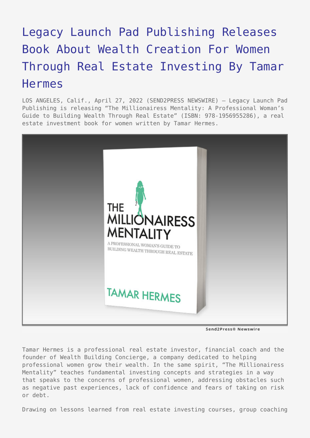## [Legacy Launch Pad Publishing Releases](https://www.send2press.com/wire/legacy-launch-pad-publishing-releases-book-about-wealth-creation-for-women-through-real-estate-investing-by-tamar-hermes/) [Book About Wealth Creation For Women](https://www.send2press.com/wire/legacy-launch-pad-publishing-releases-book-about-wealth-creation-for-women-through-real-estate-investing-by-tamar-hermes/) [Through Real Estate Investing By Tamar](https://www.send2press.com/wire/legacy-launch-pad-publishing-releases-book-about-wealth-creation-for-women-through-real-estate-investing-by-tamar-hermes/) [Hermes](https://www.send2press.com/wire/legacy-launch-pad-publishing-releases-book-about-wealth-creation-for-women-through-real-estate-investing-by-tamar-hermes/)

LOS ANGELES, Calif., April 27, 2022 (SEND2PRESS NEWSWIRE) — Legacy Launch Pad Publishing is releasing "The Millionairess Mentality: A Professional Woman's Guide to Building Wealth Through Real Estate" (ISBN: 978-1956955286), a real estate investment book for women written by Tamar Hermes.



Send2Press® Newswire

Tamar Hermes is a professional real estate investor, financial coach and the founder of Wealth Building Concierge, a company dedicated to helping professional women grow their wealth. In the same spirit, "The Millionairess Mentality" teaches fundamental investing concepts and strategies in a way that speaks to the concerns of professional women, addressing obstacles such as negative past experiences, lack of confidence and fears of taking on risk or debt.

Drawing on lessons learned from real estate investing courses, group coaching